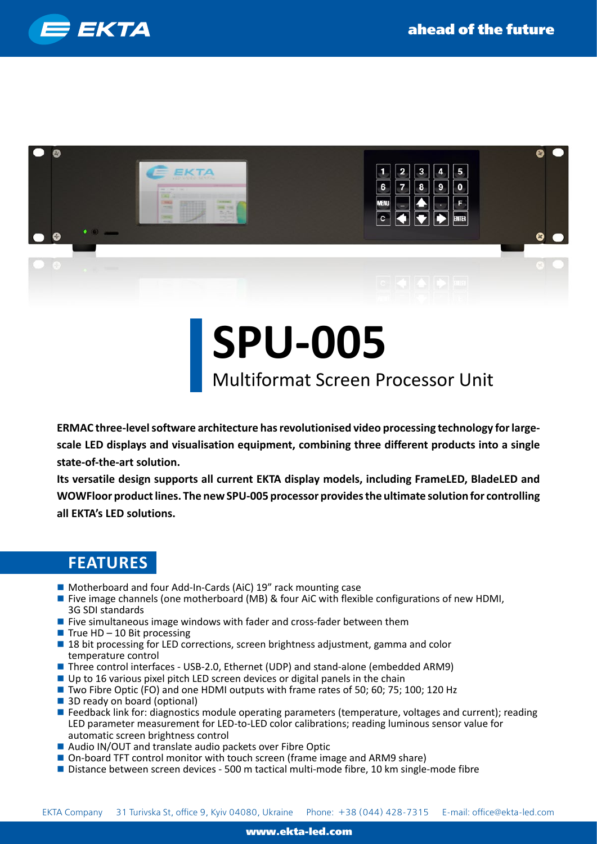



## **SPU-005**

## Multiformat Screen Processor Unit

**ERMAC three-level software architecture has revolutionised video processing technology for largescale LED displays and visualisation equipment, combining three different products into a single state-of-the-art solution.**

**Its versatile design supports all current EKTA display models, including FrameLED, BladeLED and WOWFloor product lines. The new SPU-005 processor provides the ultimate solution for controlling all EKTA's LED solutions.**

## **FEATURES**

- Motherboard and four Add-In-Cards (AiC) 19" rack mounting case
- **Five image channels (one motherboard (MB) & four AiC with flexible configurations of new HDMI,** 3G SDI standards
- **Five simultaneous image windows with fader and cross-fader between them**
- $\blacksquare$  True HD 10 Bit processing
- **18 bit processing for LED corrections, screen brightness adjustment, gamma and color** temperature control
- Three control interfaces USB-2.0, Ethernet (UDP) and stand-alone (embedded ARM9)
- $\blacksquare$  Up to 16 various pixel pitch LED screen devices or digital panels in the chain
- Two Fibre Optic (FO) and one HDMI outputs with frame rates of 50; 60; 75; 100; 120 Hz
- 3D ready on board (optional)
- **Feedback link for: diagnostics module operating parameters (temperature, voltages and current); reading** LED parameter measurement for LED-to-LED color calibrations; reading luminous sensor value for automatic screen brightness control
- Audio IN/OUT and translate audio packets over Fibre Optic
- On-board TFT control monitor with touch screen (frame image and ARM9 share)
- Distance between screen devices 500 m tactical multi-mode fibre, 10 km single-mode fibre